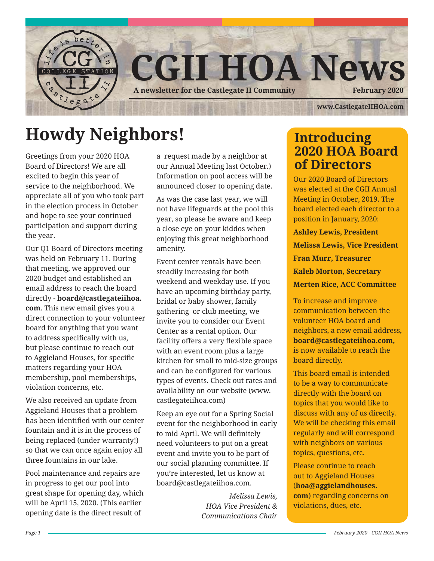

## **Howdy Neighbors!**

Greetings from your 2020 HOA Board of Directors! We are all excited to begin this year of service to the neighborhood. We appreciate all of you who took part in the election process in October and hope to see your continued participation and support during the year.

Our Q1 Board of Directors meeting was held on February 11. During that meeting, we approved our 2020 budget and established an email address to reach the board directly - **board@castlegateiihoa. com**. This new email gives you a direct connection to your volunteer board for anything that you want to address specifically with us, but please continue to reach out to Aggieland Houses, for specific matters regarding your HOA membership, pool memberships, violation concerns, etc.

We also received an update from Aggieland Houses that a problem has been identified with our center fountain and it is in the process of being replaced (under warranty!) so that we can once again enjoy all three fountains in our lake.

Pool maintenance and repairs are in progress to get our pool into great shape for opening day, which will be April 15, 2020. (This earlier opening date is the direct result of

a request made by a neighbor at our Annual Meeting last October.) Information on pool access will be announced closer to opening date.

As was the case last year, we will not have lifeguards at the pool this year, so please be aware and keep a close eye on your kiddos when enjoying this great neighborhood amenity.

Event center rentals have been steadily increasing for both weekend and weekday use. If you have an upcoming birthday party, bridal or baby shower, family gathering or club meeting, we invite you to consider our Event Center as a rental option. Our facility offers a very flexible space with an event room plus a large kitchen for small to mid-size groups and can be configured for various types of events. Check out rates and availability on our website (www. castlegateiihoa.com)

Keep an eye out for a Spring Social event for the neighborhood in early to mid April. We will definitely need volunteers to put on a great event and invite you to be part of our social planning committee. If you're interested, let us know at board@castlegateiihoa.com.

> *Melissa Lewis, HOA Vice President & Communications Chair*

### **Introducing 2020 HOA Board of Directors**

Our 2020 Board of Directors was elected at the CGII Annual Meeting in October, 2019. The board elected each director to a position in January, 2020:

**Ashley Lewis, President**

**Melissa Lewis, Vice President**

**Fran Murr, Treasurer**

**Kaleb Morton, Secretary**

**Merten Rice, ACC Committee**

To increase and improve communication between the volunteer HOA board and neighbors, a new email address, **board@castlegateiihoa.com,** is now available to reach the board directly.

This board email is intended to be a way to communicate directly with the board on topics that you would like to discuss with any of us directly. We will be checking this email regularly and will correspond with neighbors on various topics, questions, etc.

Please continue to reach out to Aggieland Houses (**hoa@aggielandhouses. com**) regarding concerns on violations, dues, etc.